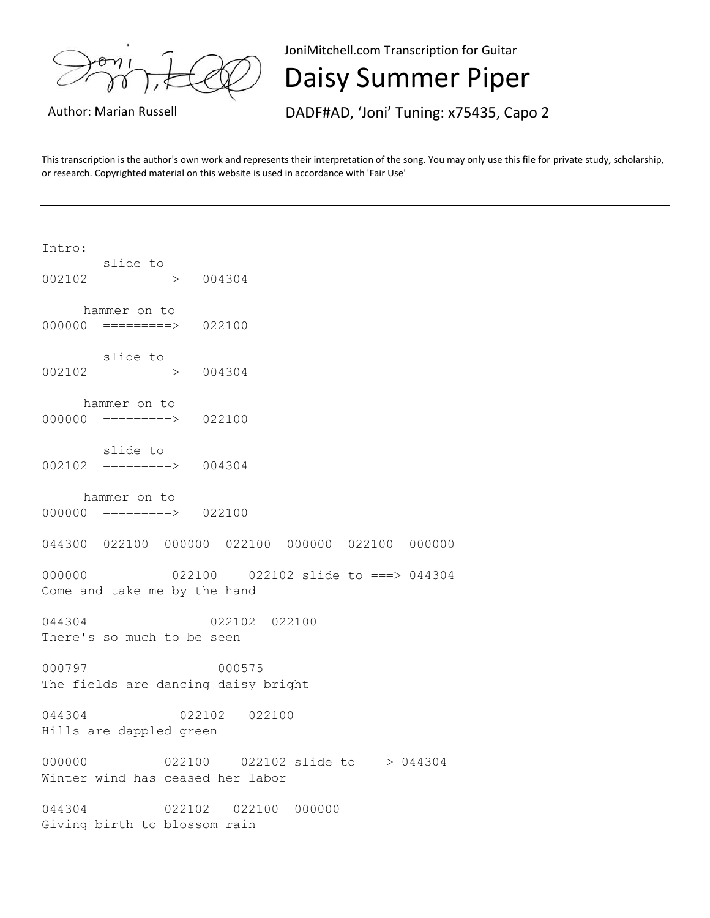JoniMitchell.com Transcription for Guitar

Daisy Summer Piper

Author: Marian Russell **DADF#AD, 'Joni' Tuning: x75435, Capo 2** 

This transcription is the author's own work and represents their interpretation of the song. You may only use this file for private study, scholarship, or research. Copyrighted material on this website is used in accordance with 'Fair Use'

| Intro:                                                                      |
|-----------------------------------------------------------------------------|
| slide to<br>$002102$ ========> 004304                                       |
| hammer on to<br>$000000 = == == == => 022100$                               |
| slide to<br>$002102$ ========> 004304                                       |
| hammer on to<br>$000000 = == == == => 022100$                               |
| slide to<br>$002102$ ========> $004304$                                     |
| hammer on to<br>$000000 = \frac{\text{---}{\text{---}}}{\text{---}}$ 022100 |
| 044300 022100 000000 022100 000000 022100 000000                            |
| 000000<br>Come and take me by the hand                                      |
| 044304<br>022102 022100<br>There's so much to be seen                       |
| 000797<br>000575<br>The fields are dancing daisy bright                     |
| 044304<br>022102 022100<br>Hills are dappled green                          |
| 000000 00000<br>Winter wind has ceased her labor                            |
| 044304<br>022102 022100<br>000000<br>Giving birth to blossom rain           |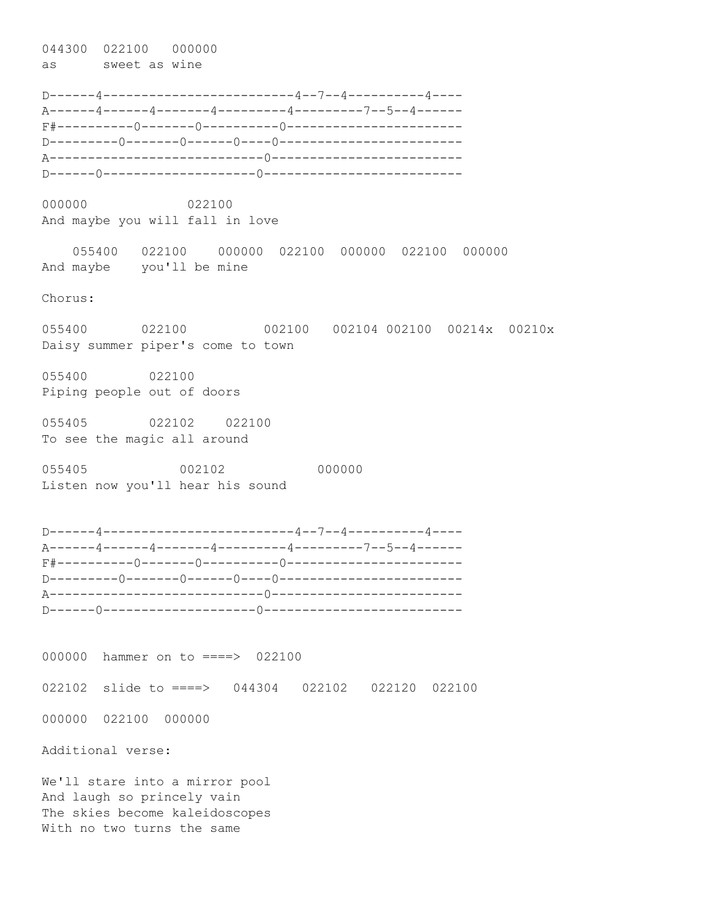044300 022100 000000 as sweet as wine

D------4-------------------------4--7--4----------4---- A------4------4-------4---------4---------7--5--4------ F#----------0-------0----------0----------------------- D---------0-------0------0----0------------------------ A----------------------------0------------------------- D------0--------------------0--------------------------

000000 022100 And maybe you will fall in love

 055400 022100 000000 022100 000000 022100 000000 And maybe you'll be mine

Chorus:

055400 022100 002100 002104 002100 00214x 00210x Daisy summer piper's come to town

055400 022100 Piping people out of doors

055405 022102 022100 To see the magic all around

055405 002102 000000 Listen now you'll hear his sound

D------4-------------------------4--7--4----------4---- A------4------4-------4---------4---------7--5--4------ F#----------0-------0----------0----------------------- D---------0-------0------0----0------------------------ A----------------------------0------------------------- D------0--------------------0--------------------------

000000 hammer on to ====> 022100 022102 slide to ====> 044304 022102 022120 022100 000000 022100 000000 Additional verse:

We'll stare into a mirror pool And laugh so princely vain The skies become kaleidoscopes With no two turns the same